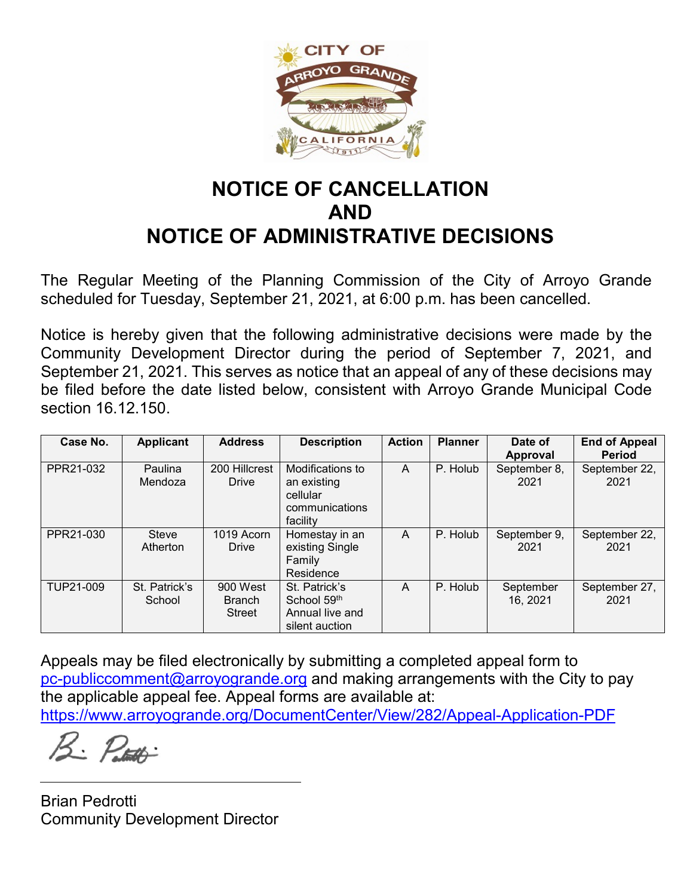

## **NOTICE OF CANCELLATION AND NOTICE OF ADMINISTRATIVE DECISIONS**

The Regular Meeting of the Planning Commission of the City of Arroyo Grande scheduled for Tuesday, September 21, 2021, at 6:00 p.m. has been cancelled.

Notice is hereby given that the following administrative decisions were made by the Community Development Director during the period of September 7, 2021, and September 21, 2021. This serves as notice that an appeal of any of these decisions may be filed before the date listed below, consistent with Arroyo Grande Municipal Code section 16.12.150.

| Case No.  | <b>Applicant</b>        | <b>Address</b>                             | <b>Description</b>                                                        | <b>Action</b> | <b>Planner</b> | Date of<br>Approval   | <b>End of Appeal</b><br>Period |
|-----------|-------------------------|--------------------------------------------|---------------------------------------------------------------------------|---------------|----------------|-----------------------|--------------------------------|
| PPR21-032 | Paulina<br>Mendoza      | 200 Hillcrest<br>Drive                     | Modifications to<br>an existing<br>cellular<br>communications<br>facility | A             | P. Holub       | September 8,<br>2021  | September 22,<br>2021          |
| PPR21-030 | Steve<br>Atherton       | 1019 Acorn<br>Drive                        | Homestay in an<br>existing Single<br>Family<br>Residence                  | A             | P. Holub       | September 9,<br>2021  | September 22,<br>2021          |
| TUP21-009 | St. Patrick's<br>School | 900 West<br><b>Branch</b><br><b>Street</b> | St. Patrick's<br>School 59th<br>Annual live and<br>silent auction         | A             | P. Holub       | September<br>16, 2021 | September 27,<br>2021          |

Appeals may be filed electronically by submitting a completed appeal form to [pc-publiccomment@arroyogrande.org](mailto:pc-publiccomment@arroyogrande.org) and making arrangements with the City to pay the applicable appeal fee. Appeal forms are available at: <https://www.arroyogrande.org/DocumentCenter/View/282/Appeal-Application-PDF>

Brian Pedrotti Community Development Director